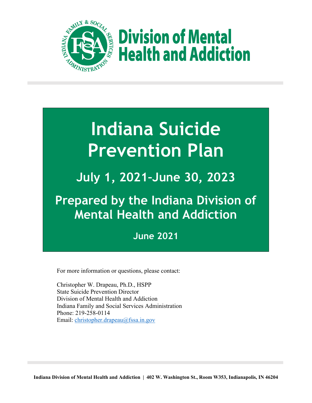

**Division of Mental Health and Addiction** 

# **Indiana Suicide Prevention Plan**

**July 1, 2021–June 30, 2023**

# **Prepared by the Indiana Division of Mental Health and Addiction**

# **June 2021**

For more information or questions, please contact:

Christopher W. Drapeau, Ph.D., HSPP State Suicide Prevention Director Division of Mental Health and Addiction Indiana Family and Social Services Administration Phone: 219-258-0114 Email: [christopher.drapeau@fssa.in.gov](mailto:christopher.drapeau@fssa.in.gov)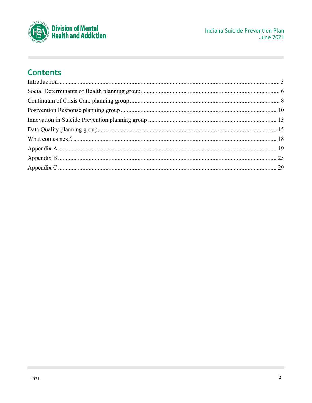

# **Contents**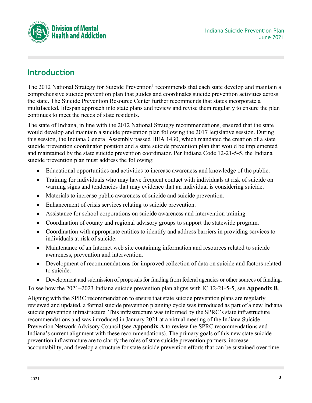

# <span id="page-2-0"></span>**Introduction**

The 2012 National Strategy for Suicide Prevention<sup>1</sup> recommends that each state develop and maintain a comprehensive suicide prevention plan that guides and coordinates suicide prevention activities across the state. The Suicide Prevention Resource Center further recommends that states incorporate a multifaceted, lifespan approach into state plans and review and revise them regularly to ensure the plan continues to meet the needs of state residents.

The state of Indiana, in line with the 2012 National Strategy recommendations, ensured that the state would develop and maintain a suicide prevention plan following the 2017 legislative session. During this session, the Indiana General Assembly passed HEA 1430, which mandated the creation of a state suicide prevention coordinator position and a state suicide prevention plan that would be implemented and maintained by the state suicide prevention coordinator. Per Indiana Code 12-21-5-5, the Indiana suicide prevention plan must address the following:

- Educational opportunities and activities to increase awareness and knowledge of the public.
- Training for individuals who may have frequent contact with individuals at risk of suicide on warning signs and tendencies that may evidence that an individual is considering suicide.
- Materials to increase public awareness of suicide and suicide prevention.
- Enhancement of crisis services relating to suicide prevention.
- Assistance for school corporations on suicide awareness and intervention training.
- Coordination of county and regional advisory groups to support the statewide program.
- Coordination with appropriate entities to identify and address barriers in providing services to individuals at risk of suicide.
- Maintenance of an Internet web site containing information and resources related to suicide awareness, prevention and intervention.
- Development of recommendations for improved collection of data on suicide and factors related to suicide.
- Development and submission of proposals for funding from federal agencies or other sources of funding.

To see how the 2021–2023 Indiana suicide prevention plan aligns with IC 12-21-5-5, see **[Appendix](#page-24-0) B**.

Aligning with the SPRC recommendation to ensure that state suicide prevention plans are regularly reviewed and updated, a formal suicide prevention planning cycle was introduced as part of a new Indiana suicide prevention infrastructure. This infrastructure was informed by the SPRC's state infrastructure recommendations and was introduced in January 2021 at a virtual meeting of the Indiana Suicide Prevention Network Advisory Council (see **[Appendix A](#page-18-0)** to review the SPRC recommendations and Indiana's current alignment with these recommendations). The primary goals of this new state suicide prevention infrastructure are to clarify the roles of state suicide prevention partners, increase accountability, and develop a structure for state suicide prevention efforts that can be sustained over time.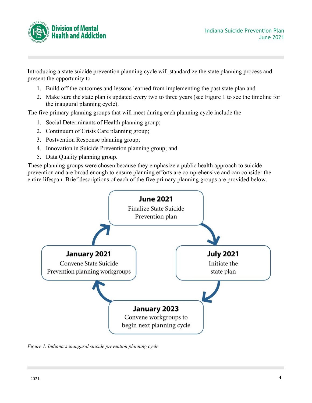

Introducing a state suicide prevention planning cycle will standardize the state planning process and present the opportunity to

- 1. Build off the outcomes and lessons learned from implementing the past state plan and
- 2. Make sure the state plan is updated every two to three years (see Figure 1 to see the timeline for the inaugural planning cycle).

The five primary planning groups that will meet during each planning cycle include the

- 1. Social Determinants of Health planning group;
- 2. Continuum of Crisis Care planning group;
- 3. Postvention Response planning group;
- 4. Innovation in Suicide Prevention planning group; and
- 5. Data Quality planning group.

These planning groups were chosen because they emphasize a public health approach to suicide prevention and are broad enough to ensure planning efforts are comprehensive and can consider the entire lifespan. Brief descriptions of each of the five primary planning groups are provided below.



*Figure 1. Indiana's inaugural suicide prevention planning cycle*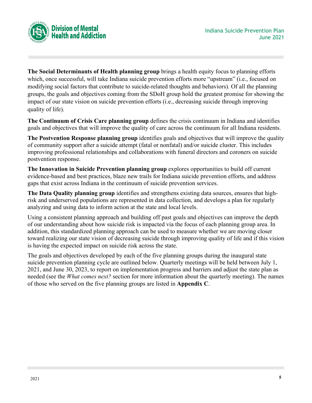

**The Social Determinants of Health planning group** brings a health equity focus to planning efforts which, once successful, will take Indiana suicide prevention efforts more "upstream" (i.e., focused on modifying social factors that contribute to suicide-related thoughts and behaviors). Of all the planning groups, the goals and objectives coming from the SDoH group hold the greatest promise for showing the impact of our state vision on suicide prevention efforts (i.e., decreasing suicide through improving quality of life).

**The Continuum of Crisis Care planning group** defines the crisis continuum in Indiana and identifies goals and objectives that will improve the quality of care across the continuum for all Indiana residents.

**The Postvention Response planning group** identifies goals and objectives that will improve the quality of community support after a suicide attempt (fatal or nonfatal) and/or suicide cluster. This includes improving professional relationships and collaborations with funeral directors and coroners on suicide postvention response.

**The Innovation in Suicide Prevention planning group** explores opportunities to build off current evidence-based and best practices, blaze new trails for Indiana suicide prevention efforts, and address gaps that exist across Indiana in the continuum of suicide prevention services.

**The Data Quality planning group** identifies and strengthens existing data sources, ensures that highrisk and underserved populations are represented in data collection, and develops a plan for regularly analyzing and using data to inform action at the state and local levels.

Using a consistent planning approach and building off past goals and objectives can improve the depth of our understanding about how suicide risk is impacted via the focus of each planning group area. In addition, this standardized planning approach can be used to measure whether we are moving closer toward realizing our state vision of decreasing suicide through improving quality of life and if this vision is having the expected impact on suicide risk across the state.

The goals and objectives developed by each of the five planning groups during the inaugural state suicide prevention planning cycle are outlined below. Quarterly meetings will be held between July 1, 2021, and June 30, 2023, to report on implementation progress and barriers and adjust the state plan as needed (see the *What comes next?* section for more information about the quarterly meeting). The names of those who served on the five planning groups are listed in **[Appendix C](#page-28-0)**.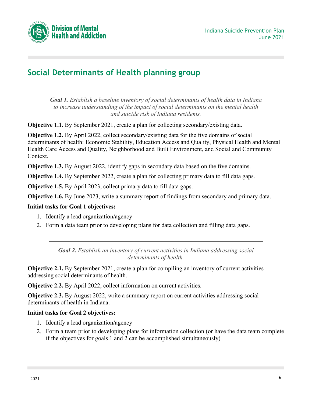

# <span id="page-5-0"></span>**Social Determinants of Health planning group**

*Goal 1. Establish a baseline inventory of social determinants of health data in Indiana to increase understanding of the impact of social determinants on the mental health and suicide risk of Indiana residents.*

**Objective 1.1.** By September 2021, create a plan for collecting secondary/existing data.

**Objective 1.2.** By April 2022, collect secondary/existing data for the five domains of social determinants of health: Economic Stability, Education Access and Quality, Physical Health and Mental Health Care Access and Quality, Neighborhood and Built Environment, and Social and Community Context.

**Objective 1.3.** By August 2022, identify gaps in secondary data based on the five domains.

**Objective 1.4.** By September 2022, create a plan for collecting primary data to fill data gaps.

**Objective 1.5.** By April 2023, collect primary data to fill data gaps.

**Objective 1.6.** By June 2023, write a summary report of findings from secondary and primary data.

## **Initial tasks for Goal 1 objectives:**

- 1. Identify a lead organization/agency
- 2. Form a data team prior to developing plans for data collection and filling data gaps.

*Goal 2. Establish an inventory of current activities in Indiana addressing social determinants of health.*

**Objective 2.1.** By September 2021, create a plan for compiling an inventory of current activities addressing social determinants of health.

**Objective 2.2.** By April 2022, collect information on current activities.

**Objective 2.3.** By August 2022, write a summary report on current activities addressing social determinants of health in Indiana.

## **Initial tasks for Goal 2 objectives:**

- 1. Identify a lead organization/agency
- 2. Form a team prior to developing plans for information collection (or have the data team complete if the objectives for goals 1 and 2 can be accomplished simultaneously)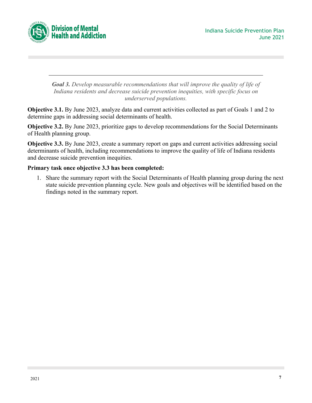

*Goal 3. Develop measurable recommendations that will improve the quality of life of Indiana residents and decrease suicide prevention inequities, with specific focus on underserved populations.*

**Objective 3.1.** By June 2023, analyze data and current activities collected as part of Goals 1 and 2 to determine gaps in addressing social determinants of health.

**Objective 3.2.** By June 2023, prioritize gaps to develop recommendations for the Social Determinants of Health planning group.

**Objective 3.3.** By June 2023, create a summary report on gaps and current activities addressing social determinants of health, including recommendations to improve the quality of life of Indiana residents and decrease suicide prevention inequities.

#### **Primary task once objective 3.3 has been completed:**

1. Share the summary report with the Social Determinants of Health planning group during the next state suicide prevention planning cycle. New goals and objectives will be identified based on the findings noted in the summary report.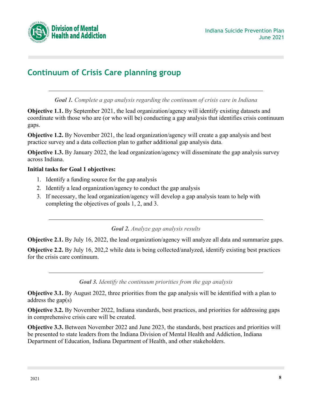

# <span id="page-7-0"></span>**Continuum of Crisis Care planning group**

*Goal 1. Complete a gap analysis regarding the continuum of crisis care in Indiana*

**Objective 1.1.** By September 2021, the lead organization/agency will identify existing datasets and coordinate with those who are (or who will be) conducting a gap analysis that identifies crisis continuum gaps.

**Objective 1.2.** By November 2021, the lead organization/agency will create a gap analysis and best practice survey and a data collection plan to gather additional gap analysis data.

**Objective 1.3.** By January 2022, the lead organization/agency will disseminate the gap analysis survey across Indiana.

#### **Initial tasks for Goal 1 objectives:**

- 1. Identify a funding source for the gap analysis
- 2. Identify a lead organization/agency to conduct the gap analysis
- 3. If necessary, the lead organization/agency will develop a gap analysis team to help with completing the objectives of goals 1, 2, and 3.

#### *Goal 2. Analyze gap analysis results*

**Objective 2.1.** By July 16, 2022, the lead organization/agency will analyze all data and summarize gaps.

**Objective 2.2.** By July 16, 202,2 while data is being collected/analyzed, identify existing best practices for the crisis care continuum.

*Goal 3. Identify the continuum priorities from the gap analysis*

**Objective 3.1.** By August 2022, three priorities from the gap analysis will be identified with a plan to address the gap(s)

**Objective 3.2.** By November 2022, Indiana standards, best practices, and priorities for addressing gaps in comprehensive crisis care will be created.

**Objective 3.3.** Between November 2022 and June 2023, the standards, best practices and priorities will be presented to state leaders from the Indiana Division of Mental Health and Addiction, Indiana Department of Education, Indiana Department of Health, and other stakeholders.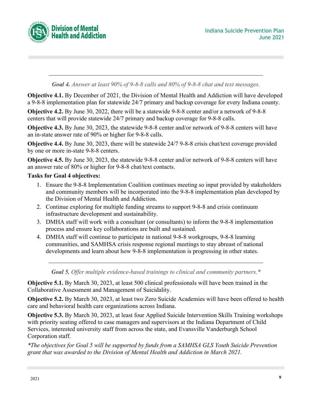

*Goal 4. Answer at least 90% of 9-8-8 calls and 80% of 9-8-8 chat and text messages.*

**Objective 4.1.** By December of 2021, the Division of Mental Health and Addiction will have developed a 9-8-8 implementation plan for statewide 24/7 primary and backup coverage for every Indiana county.

**Objective 4.2.** By June 30, 2022, there will be a statewide 9-8-8 center and/or a network of 9-8-8 centers that will provide statewide 24/7 primary and backup coverage for 9-8-8 calls.

**Objective 4.3.** By June 30, 2023, the statewide 9-8-8 center and/or network of 9-8-8 centers will have an in-state answer rate of 90% or higher for 9-8-8 calls.

**Objective 4.4.** By June 30, 2023, there will be statewide 24/7 9-8-8 crisis chat/text coverage provided by one or more in-state 9-8-8 centers.

**Objective 4.5.** By June 30, 2023, the statewide 9-8-8 center and/or network of 9-8-8 centers will have an answer rate of 80% or higher for 9-8-8 chat/text contacts.

#### **Tasks for Goal 4 objectives:**

- 1. Ensure the 9-8-8 Implementation Coalition continues meeting so input provided by stakeholders and community members will be incorporated into the 9-8-8 implementation plan developed by the Division of Mental Health and Addiction.
- 2. Continue exploring for multiple funding streams to support 9-8-8 and crisis continuum infrastructure development and sustainability.
- 3. DMHA staff will work with a consultant (or consultants) to inform the 9-8-8 implementation process and ensure key collaborations are built and sustained.
- 4. DMHA staff will continue to participate in national 9-8-8 workgroups, 9-8-8 learning communities, and SAMHSA crisis response regional meetings to stay abreast of national developments and learn about how 9-8-8 implementation is progressing in other states.

*Goal 5. Offer multiple evidence-based trainings to clinical and community partners.\**

**Objective 5.1.** By March 30, 2023, at least 500 clinical professionals will have been trained in the Collaborative Assessment and Management of Suicidality.

**Objective 5.2.** By March 30, 2023, at least two Zero Suicide Academies will have been offered to health care and behavioral health care organizations across Indiana.

**Objective 5.3.** By March 30, 2023, at least four Applied Suicide Intervention Skills Training workshops with priority seating offered to case managers and supervisors at the Indiana Department of Child Services, interested university staff from across the state, and Evansville Vanderburgh School Corporation staff.

*\*The objectives for Goal 5 will be supported by funds from a SAMHSA GLS Youth Suicide Prevention grant that was awarded to the Division of Mental Health and Addiction in March 2021.*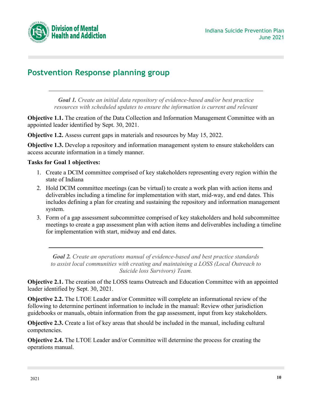

# <span id="page-9-0"></span>**Postvention Response planning group**

*Goal 1. Create an initial data repository of evidence-based and/or best practice resources with scheduled updates to ensure the information is current and relevant*

**Objective 1.1.** The creation of the Data Collection and Information Management Committee with an appointed leader identified by Sept. 30, 2021.

**Objective 1.2.** Assess current gaps in materials and resources by May 15, 2022.

**Objective 1.3.** Develop a repository and information management system to ensure stakeholders can access accurate information in a timely manner.

#### **Tasks for Goal 1 objectives:**

- 1. Create a DCIM committee comprised of key stakeholders representing every region within the state of Indiana
- 2. Hold DCIM committee meetings (can be virtual) to create a work plan with action items and deliverables including a timeline for implementation with start, mid-way, and end dates. This includes defining a plan for creating and sustaining the repository and information management system.
- 3. Form of a gap assessment subcommittee comprised of key stakeholders and hold subcommittee meetings to create a gap assessment plan with action items and deliverables including a timeline for implementation with start, midway and end dates.

*Goal 2. Create an operations manual of evidence-based and best practice standards to assist local communities with creating and maintaining a LOSS (Local Outreach to Suicide loss Survivors) Team.*

**Objective 2.1.** The creation of the LOSS teams Outreach and Education Committee with an appointed leader identified by Sept. 30, 2021.

**Objective 2.2.** The LTOE Leader and/or Committee will complete an informational review of the following to determine pertinent information to include in the manual: Review other jurisdiction guidebooks or manuals, obtain information from the gap assessment, input from key stakeholders.

**Objective 2.3.** Create a list of key areas that should be included in the manual, including cultural competencies.

**Objective 2.4.** The LTOE Leader and/or Committee will determine the process for creating the operations manual.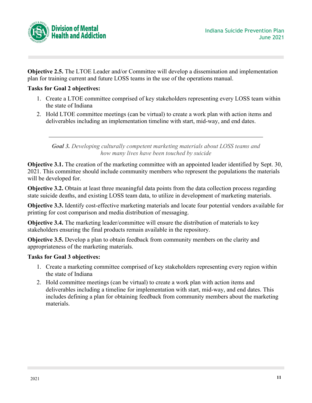

**Objective 2.5.** The LTOE Leader and/or Committee will develop a dissemination and implementation plan for training current and future LOSS teams in the use of the operations manual.

#### **Tasks for Goal 2 objectives:**

- 1. Create a LTOE committee comprised of key stakeholders representing every LOSS team within the state of Indiana
- 2. Hold LTOE committee meetings (can be virtual) to create a work plan with action items and deliverables including an implementation timeline with start, mid-way, and end dates.

*Goal 3. Developing culturally competent marketing materials about LOSS teams and how many lives have been touched by suicide*

**Objective 3.1.** The creation of the marketing committee with an appointed leader identified by Sept. 30, 2021. This committee should include community members who represent the populations the materials will be developed for.

**Objective 3.2.** Obtain at least three meaningful data points from the data collection process regarding state suicide deaths, and existing LOSS team data, to utilize in development of marketing materials.

**Objective 3.3.** Identify cost-effective marketing materials and locate four potential vendors available for printing for cost comparison and media distribution of messaging.

**Objective 3.4.** The marketing leader/committee will ensure the distribution of materials to key stakeholders ensuring the final products remain available in the repository.

**Objective 3.5.** Develop a plan to obtain feedback from community members on the clarity and appropriateness of the marketing materials.

#### **Tasks for Goal 3 objectives:**

- 1. Create a marketing committee comprised of key stakeholders representing every region within the state of Indiana
- 2. Hold committee meetings (can be virtual) to create a work plan with action items and deliverables including a timeline for implementation with start, mid-way, and end dates. This includes defining a plan for obtaining feedback from community members about the marketing materials.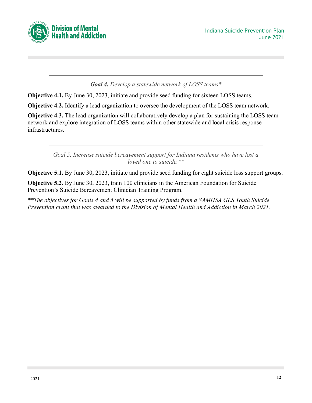



#### *Goal 4. Develop a statewide network of LOSS teams\**

**Objective 4.1.** By June 30, 2023, initiate and provide seed funding for sixteen LOSS teams.

**Objective 4.2.** Identify a lead organization to oversee the development of the LOSS team network.

**Objective 4.3.** The lead organization will collaboratively develop a plan for sustaining the LOSS team network and explore integration of LOSS teams within other statewide and local crisis response infrastructures.

> *Goal 5. Increase suicide bereavement support for Indiana residents who have lost a loved one to suicide.\*\**

**Objective 5.1.** By June 30, 2023, initiate and provide seed funding for eight suicide loss support groups.

**Objective 5.2.** By June 30, 2023, train 100 clinicians in the American Foundation for Suicide Prevention's Suicide Bereavement Clinician Training Program.

*\*\*The objectives for Goals 4 and 5 will be supported by funds from a SAMHSA GLS Youth Suicide Prevention grant that was awarded to the Division of Mental Health and Addiction in March 2021.*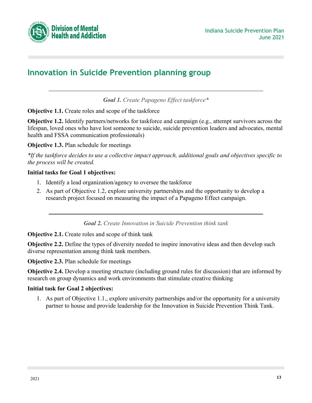

# <span id="page-12-0"></span>**Innovation in Suicide Prevention planning group**

*Goal 1. Create Papageno Effect taskforce\**

**Objective 1.1.** Create roles and scope of the taskforce

**Objective 1.2.** Identify partners/networks for taskforce and campaign (e.g., attempt survivors across the lifespan, loved ones who have lost someone to suicide, suicide prevention leaders and advocates, mental health and FSSA communication professionals)

**Objective 1.3.** Plan schedule for meetings

*\*If the taskforce decides to use a collective impact approach, additional goals and objectives specific to the process will be created.*

#### **Initial tasks for Goal 1 objectives:**

- 1. Identify a lead organization/agency to oversee the taskforce
- 2. As part of Objective 1.2, explore university partnerships and the opportunity to develop a research project focused on measuring the impact of a Papageno Effect campaign.

*Goal 2. Create Innovation in Suicide Prevention think tank*

**Objective 2.1.** Create roles and scope of think tank

**Objective 2.2.** Define the types of diversity needed to inspire innovative ideas and then develop such diverse representation among think tank members.

**Objective 2.3.** Plan schedule for meetings

**Objective 2.4.** Develop a meeting structure (including ground rules for discussion) that are informed by research on group dynamics and work environments that stimulate creative thinking

#### **Initial task for Goal 2 objectives:**

1. As part of Objective 1.1., explore university partnerships and/or the opportunity for a university partner to house and provide leadership for the Innovation in Suicide Prevention Think Tank.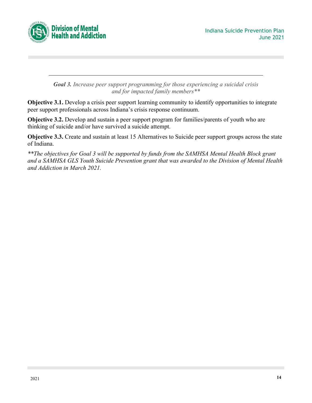

*Goal 3. Increase peer support programming for those experiencing a suicidal crisis and for impacted family members\*\**

**Objective 3.1.** Develop a crisis peer support learning community to identify opportunities to integrate peer support professionals across Indiana's crisis response continuum.

**Objective 3.2.** Develop and sustain a peer support program for families/parents of youth who are thinking of suicide and/or have survived a suicide attempt.

**Objective 3.3.** Create and sustain at least 15 Alternatives to Suicide peer support groups across the state of Indiana.

*\*\*The objectives for Goal 3 will be supported by funds from the SAMHSA Mental Health Block grant and a SAMHSA GLS Youth Suicide Prevention grant that was awarded to the Division of Mental Health and Addiction in March 2021.*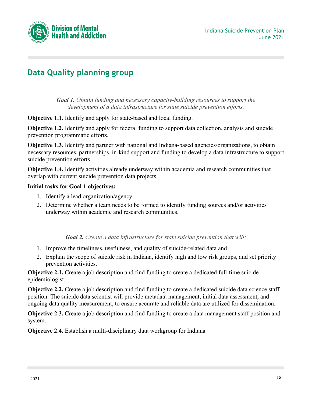



# <span id="page-14-0"></span>**Data Quality planning group**

*Goal 1. Obtain funding and necessary capacity-building resources to support the development of a data infrastructure for state suicide prevention efforts.*

**Objective 1.1.** Identify and apply for state-based and local funding.

**Objective 1.2.** Identify and apply for federal funding to support data collection, analysis and suicide prevention programmatic efforts.

**Objective 1.3.** Identify and partner with national and Indiana-based agencies/organizations, to obtain necessary resources, partnerships, in-kind support and funding to develop a data infrastructure to support suicide prevention efforts.

**Objective 1.4.** Identify activities already underway within academia and research communities that overlap with current suicide prevention data projects.

#### **Initial tasks for Goal 1 objectives:**

- 1. Identify a lead organization/agency
- 2. Determine whether a team needs to be formed to identify funding sources and/or activities underway within academic and research communities.

*Goal 2. Create a data infrastructure for state suicide prevention that will:*

- 1. Improve the timeliness, usefulness, and quality of suicide-related data and
- 2. Explain the scope of suicide risk in Indiana, identify high and low risk groups, and set priority prevention activities.

**Objective 2.1.** Create a job description and find funding to create a dedicated full-time suicide epidemiologist.

**Objective 2.2.** Create a job description and find funding to create a dedicated suicide data science staff position. The suicide data scientist will provide metadata management, initial data assessment, and ongoing data quality measurement, to ensure accurate and reliable data are utilized for dissemination.

**Objective 2.3.** Create a job description and find funding to create a data management staff position and system.

**Objective 2.4.** Establish a multi-disciplinary data workgroup for Indiana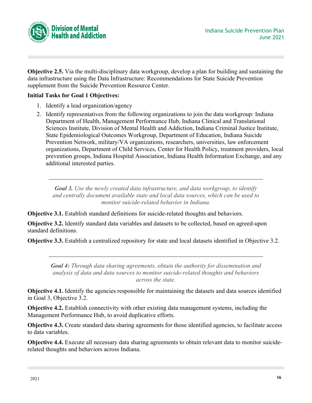

**Objective 2.5.** Via the multi-disciplinary data workgroup, develop a plan for building and sustaining the data infrastructure using the Data Infrastructure: Recommendations for State Suicide Prevention supplement from the Suicide Prevention Resource Center.

## **Initial Tasks for Goal 1 Objectives:**

- 1. Identify a lead organization/agency
- 2. Identify representatives from the following organizations to join the data workgroup: Indiana Department of Health, Management Performance Hub, Indiana Clinical and Translational Sciences Institute, Division of Mental Health and Addiction, Indiana Criminal Justice Institute, State Epidemiological Outcomes Workgroup, Department of Education, Indiana Suicide Prevention Network, military/VA organizations, researchers, universities, law enforcement organizations, Department of Child Services, Center for Health Policy, treatment providers, local prevention groups, Indiana Hospital Association, Indiana Health Information Exchange, and any additional interested parties.

*Goal 3. Use the newly created data infrastructure, and data workgroup, to identify and centrally document available state and local data sources, which can be used to monitor suicide-related behavior in Indiana.*

**Objective 3.1.** Establish standard definitions for suicide-related thoughts and behaviors.

**Objective 3.2.** Identify standard data variables and datasets to be collected, based on agreed-upon standard definitions.

**Objective 3.3.** Establish a centralized repository for state and local datasets identified in Objective 3.2.

*Goal 4: Through data sharing agreements, obtain the authority for dissemination and analysis of data and data sources to monitor suicide-related thoughts and behaviors across the state.*

**Objective 4.1.** Identify the agencies responsible for maintaining the datasets and data sources identified in Goal 3, Objective 3.2.

**Objective 4.2.** Establish connectivity with other existing data management systems, including the Management Performance Hub, to avoid duplicative efforts.

**Objective 4.3.** Create standard data sharing agreements for those identified agencies, to facilitate access to data variables.

**Objective 4.4.** Execute all necessary data sharing agreements to obtain relevant data to monitor suiciderelated thoughts and behaviors across Indiana.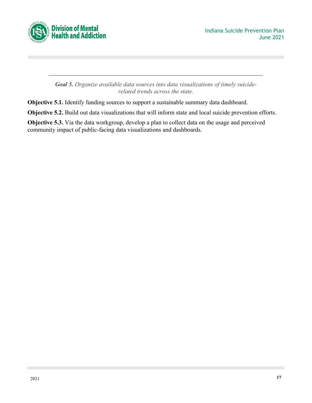

*Goal 5. Organize available data sources into data visualizations of timely suiciderelated trends across the state.*

**Objective 5.1.** Identify funding sources to support a sustainable summary data dashboard.

**Objective 5.2.** Build out data visualizations that will inform state and local suicide prevention efforts.

**Objective 5.3.** Via the data workgroup, develop a plan to collect data on the usage and perceived community impact of public-facing data visualizations and dashboards.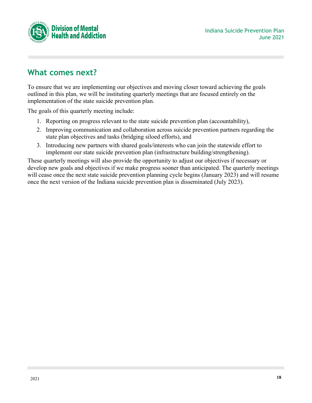

# <span id="page-17-0"></span>**What comes next?**

To ensure that we are implementing our objectives and moving closer toward achieving the goals outlined in this plan, we will be instituting quarterly meetings that are focused entirely on the implementation of the state suicide prevention plan.

The goals of this quarterly meeting include:

- 1. Reporting on progress relevant to the state suicide prevention plan (accountability),
- 2. Improving communication and collaboration across suicide prevention partners regarding the state plan objectives and tasks (bridging siloed efforts), and
- 3. Introducing new partners with shared goals/interests who can join the statewide effort to implement our state suicide prevention plan (infrastructure building/strengthening).

These quarterly meetings will also provide the opportunity to adjust our objectives if necessary or develop new goals and objectives if we make progress sooner than anticipated. The quarterly meetings will cease once the next state suicide prevention planning cycle begins (January 2023) and will resume once the next version of the Indiana suicide prevention plan is disseminated (July 2023).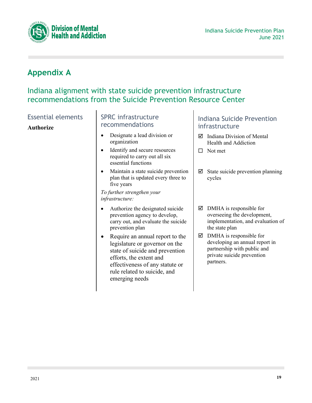



# <span id="page-18-0"></span>**Appendix A**

# Indiana alignment with state suicide prevention infrastructure recommendations from the Suicide Prevention Resource Center

Essential elements

#### **Authorize**

## SPRC infrastructure recommendations

- Designate a lead division or organization
- Identify and secure resources required to carry out all six essential functions
- Maintain a state suicide prevention plan that is updated every three to five years

*To further strengthen your infrastructure:*

- Authorize the designated suicide prevention agency to develop, carry out, and evaluate the suicide prevention plan
- Require an annual report to the legislature or governor on the state of suicide and prevention efforts, the extent and effectiveness of any statute or rule related to suicide, and emerging needs

- $\boxtimes$  Indiana Division of Mental Health and Addiction
- $\Box$  Not met
- $\boxtimes$  State suicide prevention planning cycles
- $\boxtimes$  DMHA is responsible for overseeing the development, implementation, and evaluation of the state plan
- $\boxtimes$  DMHA is responsible for developing an annual report in partnership with public and private suicide prevention partners.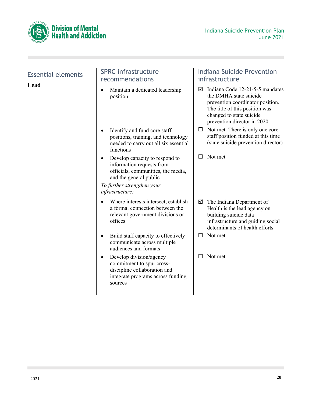



| <b>Essential elements</b><br>Lead | <b>SPRC</b> infrastructure<br>recommendations                                                                                                     | <b>Indiana Suicide Prevention</b><br>infrastructure                                                                                                                                              |
|-----------------------------------|---------------------------------------------------------------------------------------------------------------------------------------------------|--------------------------------------------------------------------------------------------------------------------------------------------------------------------------------------------------|
|                                   | Maintain a dedicated leadership<br>position                                                                                                       | Indiana Code 12-21-5-5 mandates<br>☑<br>the DMHA state suicide<br>prevention coordinator position.<br>The title of this position was<br>changed to state suicide<br>prevention director in 2020. |
|                                   | Identify and fund core staff<br>positions, training, and technology<br>needed to carry out all six essential<br>functions                         | Not met. There is only one core<br>$\Box$<br>staff position funded at this time<br>(state suicide prevention director)                                                                           |
|                                   | Develop capacity to respond to<br>information requests from<br>officials, communities, the media,<br>and the general public                       | Not met<br>□                                                                                                                                                                                     |
|                                   | To further strengthen your<br>infrastructure:                                                                                                     |                                                                                                                                                                                                  |
|                                   | Where interests intersect, establish<br>a formal connection between the<br>relevant government divisions or<br>offices                            | The Indiana Department of<br>☑<br>Health is the lead agency on<br>building suicide data<br>infrastructure and guiding social<br>determinants of health efforts                                   |
|                                   | Build staff capacity to effectively<br>communicate across multiple<br>audiences and formats                                                       | Not met<br>□                                                                                                                                                                                     |
|                                   | Develop division/agency<br>$\bullet$<br>commitment to spur cross-<br>discipline collaboration and<br>integrate programs across funding<br>sources | Not met<br>П                                                                                                                                                                                     |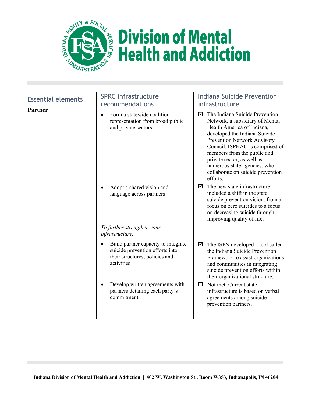

# **Division of Mental Health and Addiction**

# Essential elements

**Partner**

# SPRC infrastructure recommendations

• Form a statewide coalition representation from broad public and private sectors.

• Adopt a shared vision and language across partners

#### *To further strengthen your infrastructure:*

- Build partner capacity to integrate suicide prevention efforts into their structures, policies and activities
- Develop written agreements with partners detailing each party's commitment

- $\boxtimes$  The Indiana Suicide Prevention Network, a subsidiary of Mental Health America of Indiana, developed the Indiana Suicide Prevention Network Advisory Council. ISPNAC is comprised of members from the public and private sector, as well as numerous state agencies, who collaborate on suicide prevention efforts.
- $\nabla$  The new state infrastructure included a shift in the state suicide prevention vision: from a focus on zero suicides to a focus on decreasing suicide through improving quality of life.
- $\boxtimes$  The ISPN developed a tool called the Indiana Suicide Prevention Framework to assist organizations and communities in integrating suicide prevention efforts within their organizational structure.
- $\Box$  Not met. Current state infrastructure is based on verbal agreements among suicide prevention partners.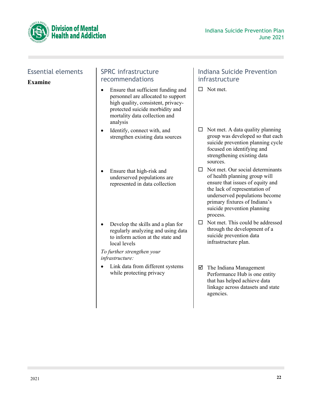



# Essential elements

**Examine**

## SPRC infrastructure recommendations

- Ensure that sufficient funding and personnel are allocated to support high quality, consistent, privacyprotected suicide morbidity and mortality data collection and analysis
- Identify, connect with, and strengthen existing data sources
- Ensure that high-risk and underserved populations are represented in data collection
- Develop the skills and a plan for regularly analyzing and using data to inform action at the state and local levels

*To further strengthen your infrastructure:*

• Link data from different systems while protecting privacy

- $\Box$  Not met.
- $\Box$  Not met. A data quality planning group was developed so that each suicide prevention planning cycle focused on identifying and strengthening existing data sources.
- $\Box$  Not met. Our social determinants of health planning group will ensure that issues of equity and the lack of representation of underserved populations become primary fixtures of Indiana's suicide prevention planning process.
- $\Box$  Not met. This could be addressed through the development of a suicide prevention data infrastructure plan.
- $\boxtimes$  The Indiana Management Performance Hub is one entity that has helped achieve data linkage across datasets and state agencies.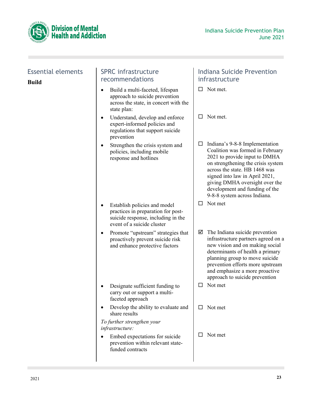



# Essential elements **Build**

# SPRC infrastructure recommendations

- Build a multi-faceted, lifespan approach to suicide prevention across the state, in concert with the state plan:
- Understand, develop and enforce expert-informed policies and regulations that support suicide prevention
- Strengthen the crisis system and policies, including mobile response and hotlines
- Establish policies and model practices in preparation for postsuicide response, including in the event of a suicide cluster
- Promote "upstream" strategies that proactively prevent suicide risk and enhance protective factors
- Designate sufficient funding to carry out or support a multifaceted approach
- Develop the ability to evaluate and share results

*To further strengthen your infrastructure:*

• Embed expectations for suicide prevention within relevant statefunded contracts

- $\Box$  Not met.
- □ Not met.
- $\Box$  Indiana's 9-8-8 Implementation Coalition was formed in February 2021 to provide input to DMHA on strengthening the crisis system across the state. HB 1468 was signed into law in April 2021, giving DMHA oversight over the development and funding of the 9-8-8 system across Indiana.
- $\Box$  Not met
- $\boxtimes$  The Indiana suicide prevention infrastructure partners agreed on a new vision and on making social determinants of health a primary planning group to move suicide prevention efforts more upstream and emphasize a more proactive approach to suicide prevention
- $\Box$  Not met
- $\Box$  Not met
- $\Box$  Not met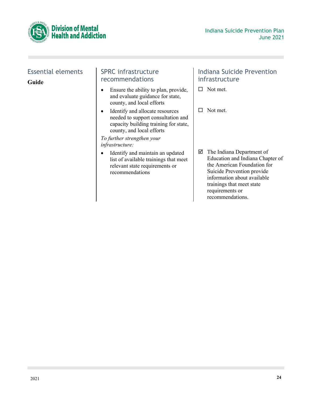

# Essential elements **Guide**

## SPRC infrastructure recommendations

- Ensure the ability to plan, provide, and evaluate guidance for state, county, and local efforts
- Identify and allocate resources needed to support consultation and capacity building training for state, county, and local efforts

*To further strengthen your infrastructure:*

• Identify and maintain an updated list of available trainings that meet relevant state requirements or recommendations

- $\Box$  Not met.
- $\Box$  Not met.
- The Indiana Department of Education and Indiana Chapter of the American Foundation for Suicide Prevention provide information about available trainings that meet state requirements or recommendations.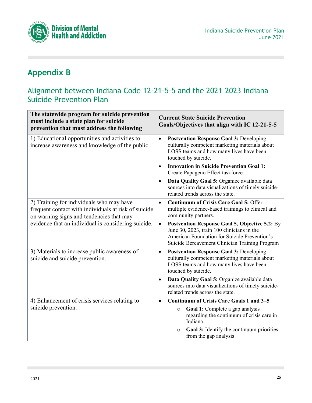

# <span id="page-24-0"></span>**Appendix B**

# Alignment between Indiana Code 12-21-5-5 and the 2021–2023 Indiana Suicide Prevention Plan

| The statewide program for suicide prevention<br>must include a state plan for suicide<br>prevention that must address the following          | <b>Current State Suicide Prevention</b><br>Goals/Objectives that align with IC 12-21-5-5                                                                                                                           |
|----------------------------------------------------------------------------------------------------------------------------------------------|--------------------------------------------------------------------------------------------------------------------------------------------------------------------------------------------------------------------|
| 1) Educational opportunities and activities to<br>increase awareness and knowledge of the public.                                            | <b>Postvention Response Goal 3: Developing</b><br>$\bullet$<br>culturally competent marketing materials about<br>LOSS teams and how many lives have been<br>touched by suicide.                                    |
|                                                                                                                                              | <b>Innovation in Suicide Prevention Goal 1:</b><br>$\bullet$<br>Create Papageno Effect taskforce.                                                                                                                  |
|                                                                                                                                              | Data Quality Goal 5: Organize available data<br>$\bullet$<br>sources into data visualizations of timely suicide-<br>related trends across the state.                                                               |
| 2) Training for individuals who may have<br>frequent contact with individuals at risk of suicide<br>on warning signs and tendencies that may | <b>Continuum of Crisis Care Goal 5: Offer</b><br>$\bullet$<br>multiple evidence-based trainings to clinical and<br>community partners.                                                                             |
| evidence that an individual is considering suicide.                                                                                          | <b>Postvention Response Goal 5, Objective 5.2: By</b><br>$\bullet$<br>June 30, 2023, train 100 clinicians in the<br>American Foundation for Suicide Prevention's<br>Suicide Bereavement Clinician Training Program |
| 3) Materials to increase public awareness of<br>suicide and suicide prevention.                                                              | <b>Postvention Response Goal 3: Developing</b><br>$\bullet$<br>culturally competent marketing materials about<br>LOSS teams and how many lives have been<br>touched by suicide.                                    |
|                                                                                                                                              | Data Quality Goal 5: Organize available data<br>$\bullet$<br>sources into data visualizations of timely suicide-<br>related trends across the state.                                                               |
| 4) Enhancement of crisis services relating to                                                                                                | <b>Continuum of Crisis Care Goals 1 and 3-5</b><br>$\bullet$                                                                                                                                                       |
| suicide prevention.                                                                                                                          | Goal 1: Complete a gap analysis<br>$\circ$<br>regarding the continuum of crisis care in<br>Indiana                                                                                                                 |
|                                                                                                                                              | Goal 3: Identify the continuum priorities<br>$\circ$<br>from the gap analysis                                                                                                                                      |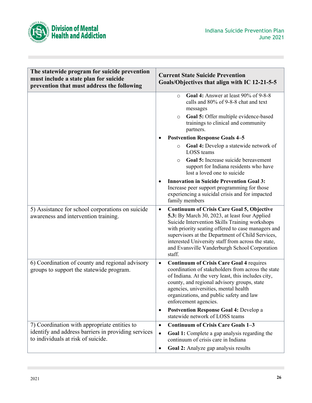

| The statewide program for suicide prevention<br>must include a state plan for suicide<br>prevention that must address the following | <b>Current State Suicide Prevention</b><br>Goals/Objectives that align with IC 12-21-5-5                                                                                                                                                                                                                                                                                                     |
|-------------------------------------------------------------------------------------------------------------------------------------|----------------------------------------------------------------------------------------------------------------------------------------------------------------------------------------------------------------------------------------------------------------------------------------------------------------------------------------------------------------------------------------------|
|                                                                                                                                     | Goal 4: Answer at least 90% of 9-8-8<br>$\circ$<br>calls and 80% of 9-8-8 chat and text<br>messages<br>Goal 5: Offer multiple evidence-based<br>$\circ$<br>trainings to clinical and community<br>partners.                                                                                                                                                                                  |
|                                                                                                                                     | <b>Postvention Response Goals 4-5</b>                                                                                                                                                                                                                                                                                                                                                        |
|                                                                                                                                     | Goal 4: Develop a statewide network of<br>$\circ$<br>LOSS teams                                                                                                                                                                                                                                                                                                                              |
|                                                                                                                                     | Goal 5: Increase suicide bereavement<br>$\circ$<br>support for Indiana residents who have<br>lost a loved one to suicide                                                                                                                                                                                                                                                                     |
|                                                                                                                                     | <b>Innovation in Suicide Prevention Goal 3:</b><br>Increase peer support programming for those<br>experiencing a suicidal crisis and for impacted<br>family members                                                                                                                                                                                                                          |
| 5) Assistance for school corporations on suicide<br>awareness and intervention training.                                            | <b>Continuum of Crisis Care Goal 5, Objective</b><br>$\bullet$<br>5.3: By March 30, 2023, at least four Applied<br>Suicide Intervention Skills Training workshops<br>with priority seating offered to case managers and<br>supervisors at the Department of Child Services,<br>interested University staff from across the state,<br>and Evansville Vanderburgh School Corporation<br>staff. |
| 6) Coordination of county and regional advisory<br>groups to support the statewide program.                                         | <b>Continuum of Crisis Care Goal 4 requires</b><br>$\bullet$<br>coordination of stakeholders from across the state<br>of Indiana. At the very least, this includes city,<br>county, and regional advisory groups, state<br>agencies, universities, mental health<br>organizations, and public safety and law<br>enforcement agencies.<br>Postvention Response Goal 4: Develop a<br>$\bullet$ |
|                                                                                                                                     | statewide network of LOSS teams                                                                                                                                                                                                                                                                                                                                                              |
| 7) Coordination with appropriate entities to                                                                                        | <b>Continuum of Crisis Care Goals 1-3</b><br>$\bullet$                                                                                                                                                                                                                                                                                                                                       |
| identify and address barriers in providing services<br>to individuals at risk of suicide.                                           | <b>Goal 1:</b> Complete a gap analysis regarding the<br>$\bullet$<br>continuum of crisis care in Indiana                                                                                                                                                                                                                                                                                     |
|                                                                                                                                     | Goal 2: Analyze gap analysis results<br>$\bullet$                                                                                                                                                                                                                                                                                                                                            |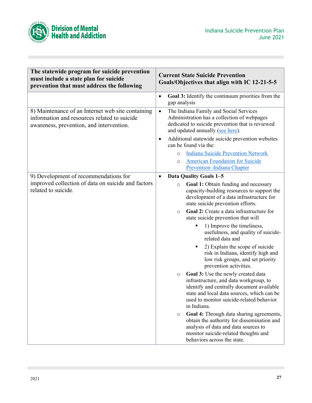

| The statewide program for suicide prevention<br>must include a state plan for suicide<br>prevention that must address the following           | <b>Current State Suicide Prevention</b><br>Goals/Objectives that align with IC 12-21-5-5                                                                                                                                                      |
|-----------------------------------------------------------------------------------------------------------------------------------------------|-----------------------------------------------------------------------------------------------------------------------------------------------------------------------------------------------------------------------------------------------|
|                                                                                                                                               | Goal 3: Identify the continuum priorities from the<br>$\bullet$<br>gap analysis                                                                                                                                                               |
| 8) Maintenance of an Internet web site containing<br>information and resources related to suicide<br>awareness, prevention, and intervention. | The Indiana Family and Social Services<br>$\bullet$<br>Administration has a collection of webpages<br>dedicated to suicide prevention that is reviewed<br>and updated annually (see here).                                                    |
|                                                                                                                                               | Additional statewide suicide prevention websites<br>$\bullet$<br>can be found via the:                                                                                                                                                        |
|                                                                                                                                               | <b>Indiana Suicide Prevention Network</b><br>$\circ$<br><b>American Foundation for Suicide</b><br>$\circ$<br>Prevention-Indiana Chapter                                                                                                       |
| 9) Development of recommendations for<br>improved collection of data on suicide and factors                                                   | <b>Data Quality Goals 1-5</b><br>$\bullet$<br>Goal 1: Obtain funding and necessary<br>$\circ$                                                                                                                                                 |
| related to suicide.                                                                                                                           | capacity-building resources to support the<br>development of a data infrastructure for<br>state suicide prevention efforts.                                                                                                                   |
|                                                                                                                                               | Goal 2: Create a data infrastructure for<br>$\Omega$<br>state suicide prevention that will                                                                                                                                                    |
|                                                                                                                                               | 1) Improve the timeliness,<br>٠<br>usefulness, and quality of suicide-<br>related data and                                                                                                                                                    |
|                                                                                                                                               | 2) Explain the scope of suicide<br>risk in Indiana, identify high and<br>low risk groups, and set priority<br>prevention activities.                                                                                                          |
|                                                                                                                                               | Goal 3: Use the newly created data<br>$\circ$<br>infrastructure, and data workgroup, to<br>identify and centrally document available<br>state and local data sources, which can be<br>used to monitor suicide-related behavior<br>in Indiana. |
|                                                                                                                                               | Goal 4: Through data sharing agreements,<br>$\circ$<br>obtain the authority for dissemination and<br>analysis of data and data sources to<br>monitor suicide-related thoughts and<br>behaviors across the state.                              |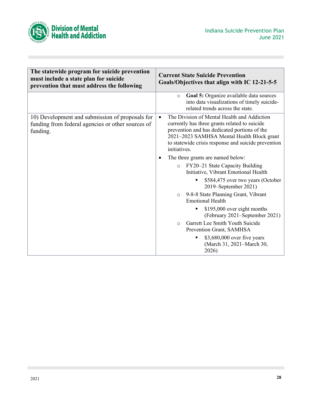

| The statewide program for suicide prevention<br>must include a state plan for suicide<br>prevention that must address the following | <b>Current State Suicide Prevention</b><br>Goals/Objectives that align with IC 12-21-5-5                                                                                                                                                                                       |
|-------------------------------------------------------------------------------------------------------------------------------------|--------------------------------------------------------------------------------------------------------------------------------------------------------------------------------------------------------------------------------------------------------------------------------|
|                                                                                                                                     | Goal 5: Organize available data sources<br>$\circ$<br>into data visualizations of timely suicide-<br>related trends across the state.                                                                                                                                          |
| 10) Development and submission of proposals for<br>funding from federal agencies or other sources of<br>funding.                    | The Division of Mental Health and Addiction<br>$\bullet$<br>currently has three grants related to suicide<br>prevention and has dedicated portions of the<br>2021-2023 SAMHSA Mental Health Block grant<br>to statewide crisis response and suicide prevention<br>initiatives. |
|                                                                                                                                     | The three grants are named below:                                                                                                                                                                                                                                              |
|                                                                                                                                     | FY20-21 State Capacity Building<br>$\circ$<br>Initiative, Vibrant Emotional Health                                                                                                                                                                                             |
|                                                                                                                                     | \$584,475 over two years (October<br>2019–September 2021)                                                                                                                                                                                                                      |
|                                                                                                                                     | 9-8-8 State Planning Grant, Vibrant<br>$\circ$<br><b>Emotional Health</b>                                                                                                                                                                                                      |
|                                                                                                                                     | \$195,000 over eight months<br>٠<br>(February 2021–September 2021)                                                                                                                                                                                                             |
|                                                                                                                                     | Garrett Lee Smith Youth Suicide<br>$\Omega$<br>Prevention Grant, SAMHSA                                                                                                                                                                                                        |
|                                                                                                                                     | \$3,680,000 over five years<br>٠<br>(March 31, 2021–March 30,<br>2026)                                                                                                                                                                                                         |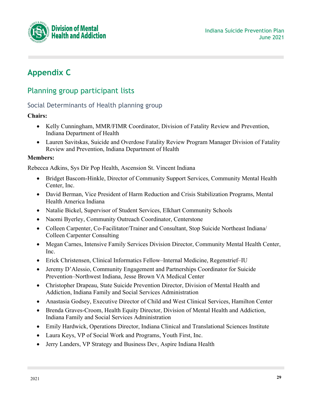

# <span id="page-28-0"></span>**Appendix C**

# Planning group participant lists

# Social Determinants of Health planning group

#### **Chairs:**

- Kelly Cunningham, MMR/FIMR Coordinator, Division of Fatality Review and Prevention, Indiana Department of Health
- Lauren Savitskas, Suicide and Overdose Fatality Review Program Manager Division of Fatality Review and Prevention, Indiana Department of Health

#### **Members:**

Rebecca Adkins, Sys Dir Pop Health, Ascension St. Vincent Indiana

- Bridget Bascom-Hinkle, Director of Community Support Services, Community Mental Health Center, Inc.
- David Berman, Vice President of Harm Reduction and Crisis Stabilization Programs, Mental Health America Indiana
- Natalie Bickel, Supervisor of Student Services, Elkhart Community Schools
- Naomi Byerley, Community Outreach Coordinator, Centerstone
- Colleen Carpenter, Co-Facilitator/Trainer and Consultant, Stop Suicide Northeast Indiana/ Colleen Carpenter Consulting
- Megan Carnes, Intensive Family Services Division Director, Community Mental Health Center, Inc.
- Erick Christensen, Clinical Informatics Fellow–Internal Medicine, Regenstrief–IU
- Jeremy D'Alessio, Community Engagement and Partnerships Coordinator for Suicide Prevention–Northwest Indiana, Jesse Brown VA Medical Center
- Christopher Drapeau, State Suicide Prevention Director, Division of Mental Health and Addiction, Indiana Family and Social Services Administration
- Anastasia Godsey, Executive Director of Child and West Clinical Services, Hamilton Center
- Brenda Graves-Croom, Health Equity Director, Division of Mental Health and Addiction, Indiana Family and Social Services Administration
- Emily Hardwick, Operations Director, Indiana Clinical and Translational Sciences Institute
- Laura Keys, VP of Social Work and Programs, Youth First, Inc.
- Jerry Landers, VP Strategy and Business Dev, Aspire Indiana Health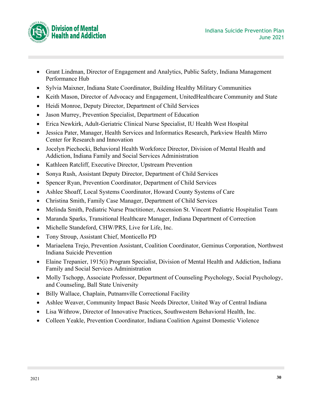

- Grant Lindman, Director of Engagement and Analytics, Public Safety, Indiana Management Performance Hub
- Sylvia Maixner, Indiana State Coordinator, Building Healthy Military Communities
- Keith Mason, Director of Advocacy and Engagement, UnitedHealthcare Community and State
- Heidi Monroe, Deputy Director, Department of Child Services
- Jason Murrey, Prevention Specialist, Department of Education
- Erica Newkirk, Adult-Geriatric Clinical Nurse Specialist, IU Health West Hospital
- Jessica Pater, Manager, Health Services and Informatics Research, Parkview Health Mirro Center for Research and Innovation
- Jocelyn Piechocki, Behavioral Health Workforce Director, Division of Mental Health and Addiction, Indiana Family and Social Services Administration
- Kathleen Ratcliff, Executive Director, Upstream Prevention
- Sonya Rush, Assistant Deputy Director, Department of Child Services
- Spencer Ryan, Prevention Coordinator, Department of Child Services
- Ashlee Shoaff, Local Systems Coordinator, Howard County Systems of Care
- Christina Smith, Family Case Manager, Department of Child Services
- Melinda Smith, Pediatric Nurse Practitioner, Ascension St. Vincent Pediatric Hospitalist Team
- Maranda Sparks, Transitional Healthcare Manager, Indiana Department of Correction
- Michelle Standeford, CHW/PRS, Live for Life, Inc.
- Tony Stroup, Assistant Chief, Monticello PD
- Mariaelena Trejo, Prevention Assistant, Coalition Coordinator, Geminus Corporation, Northwest Indiana Suicide Prevention
- Elaine Trepanier, 1915(i) Program Specialist, Division of Mental Health and Addiction, Indiana Family and Social Services Administration
- Molly Tschopp, Associate Professor, Department of Counseling Psychology, Social Psychology, and Counseling, Ball State University
- Billy Wallace, Chaplain, Putnamville Correctional Facility
- Ashlee Weaver, Community Impact Basic Needs Director, United Way of Central Indiana
- Lisa Withrow, Director of Innovative Practices, Southwestern Behavioral Health, Inc.
- Colleen Yeakle, Prevention Coordinator, Indiana Coalition Against Domestic Violence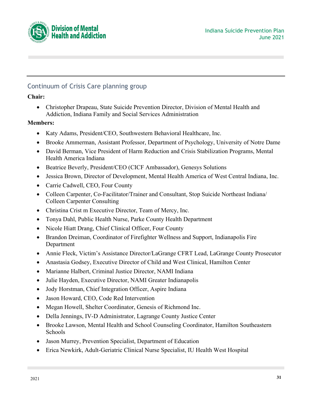



# Continuum of Crisis Care planning group

#### **Chair:**

• Christopher Drapeau, State Suicide Prevention Director, Division of Mental Health and Addiction, Indiana Family and Social Services Administration

- Katy Adams, President/CEO, Southwestern Behavioral Healthcare, Inc.
- Brooke Ammerman, Assistant Professor, Department of Psychology, University of Notre Dame
- David Berman, Vice President of Harm Reduction and Crisis Stabilization Programs, Mental Health America Indiana
- Beatrice Beverly, President/CEO (CICF Ambassador), Genesys Solutions
- Jessica Brown, Director of Development, Mental Health America of West Central Indiana, Inc.
- Carrie Cadwell, CEO, Four County
- Colleen Carpenter, Co-Facilitator/Trainer and Consultant, Stop Suicide Northeast Indiana/ Colleen Carpenter Consulting
- Christina Crist m Executive Director, Team of Mercy, Inc.
- Tonya Dahl, Public Health Nurse, Parke County Health Department
- Nicole Hiatt Drang, Chief Clinical Officer, Four County
- Brandon Dreiman, Coordinator of Firefighter Wellness and Support, Indianapolis Fire Department
- Annie Fleck, Victim's Assistance Director/LaGrange CFRT Lead, LaGrange County Prosecutor
- Anastasia Godsey, Executive Director of Child and West Clinical, Hamilton Center
- Marianne Halbert, Criminal Justice Director, NAMI Indiana
- Julie Hayden, Executive Director, NAMI Greater Indianapolis
- Jody Horstman, Chief Integration Officer, Aspire Indiana
- Jason Howard, CEO, Code Red Intervention
- Megan Howell, Shelter Coordinator, Genesis of Richmond Inc.
- Della Jennings, IV-D Administrator, Lagrange County Justice Center
- Brooke Lawson, Mental Health and School Counseling Coordinator, Hamilton Southeastern Schools
- Jason Murrey, Prevention Specialist, Department of Education
- Erica Newkirk, Adult-Geriatric Clinical Nurse Specialist, IU Health West Hospital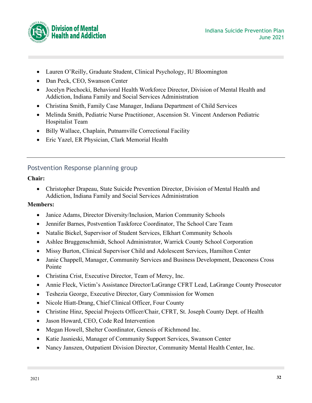

- Lauren O'Reilly, Graduate Student, Clinical Psychology, IU Bloomington
- Dan Peck, CEO, Swanson Center
- Jocelyn Piechocki, Behavioral Health Workforce Director, Division of Mental Health and Addiction, Indiana Family and Social Services Administration
- Christina Smith, Family Case Manager, Indiana Department of Child Services
- Melinda Smith, Pediatric Nurse Practitioner, Ascension St. Vincent Anderson Pediatric Hospitalist Team
- Billy Wallace, Chaplain, Putnamville Correctional Facility
- Eric Yazel, ER Physician, Clark Memorial Health

## Postvention Response planning group

#### **Chair:**

• Christopher Drapeau, State Suicide Prevention Director, Division of Mental Health and Addiction, Indiana Family and Social Services Administration

- Janice Adams, Director Diversity/Inclusion, Marion Community Schools
- Jennifer Barnes, Postvention Taskforce Coordinator, The School Care Team
- Natalie Bickel, Supervisor of Student Services, Elkhart Community Schools
- Ashlee Bruggenschmidt, School Administrator, Warrick County School Corporation
- Missy Burton, Clinical Supervisor Child and Adolescent Services, Hamilton Center
- Janie Chappell, Manager, Community Services and Business Development, Deaconess Cross Pointe
- Christina Crist, Executive Director, Team of Mercy, Inc.
- Annie Fleck, Victim's Assistance Director/LaGrange CFRT Lead, LaGrange County Prosecutor
- Teshezia George, Executive Director, Gary Commission for Women
- Nicole Hiatt-Drang, Chief Clinical Officer, Four County
- Christine Hinz, Special Projects Officer/Chair, CFRT, St. Joseph County Dept. of Health
- Jason Howard, CEO, Code Red Intervention
- Megan Howell, Shelter Coordinator, Genesis of Richmond Inc.
- Katie Jasnieski, Manager of Community Support Services, Swanson Center
- Nancy Janszen, Outpatient Division Director, Community Mental Health Center, Inc.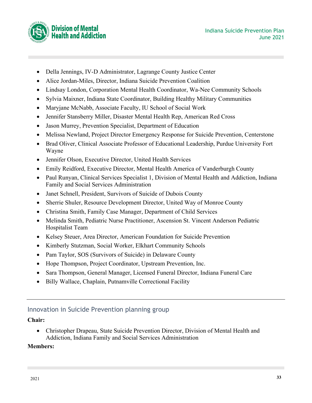

- Della Jennings, IV-D Administrator, Lagrange County Justice Center
- Alice Jordan-Miles, Director, Indiana Suicide Prevention Coalition
- Lindsay London, Corporation Mental Health Coordinator, Wa-Nee Community Schools
- Sylvia Maixner, Indiana State Coordinator, Building Healthy Military Communities
- Maryjane McNabb, Associate Faculty, IU School of Social Work
- Jennifer Stansberry Miller, Disaster Mental Health Rep, American Red Cross
- Jason Murrey, Prevention Specialist, Department of Education
- Melissa Newland, Project Director Emergency Response for Suicide Prevention, Centerstone
- Brad Oliver, Clinical Associate Professor of Educational Leadership, Purdue University Fort Wayne
- Jennifer Olson, Executive Director, United Health Services
- Emily Reidford, Executive Director, Mental Health America of Vanderburgh County
- Paul Runyan, Clinical Services Specialist 1, Division of Mental Health and Addiction, Indiana Family and Social Services Administration
- Janet Schnell, President, Survivors of Suicide of Dubois County
- Sherrie Shuler, Resource Development Director, United Way of Monroe County
- Christina Smith, Family Case Manager, Department of Child Services
- Melinda Smith, Pediatric Nurse Practitioner, Ascension St. Vincent Anderson Pediatric Hospitalist Team
- Kelsey Steuer, Area Director, American Foundation for Suicide Prevention
- Kimberly Stutzman, Social Worker, Elkhart Community Schools
- Pam Taylor, SOS (Survivors of Suicide) in Delaware County
- Hope Thompson, Project Coordinator, Upstream Prevention, Inc.
- Sara Thompson, General Manager, Licensed Funeral Director, Indiana Funeral Care
- Billy Wallace, Chaplain, Putnamville Correctional Facility

# Innovation in Suicide Prevention planning group

## **Chair:**

• Christopher Drapeau, State Suicide Prevention Director, Division of Mental Health and Addiction, Indiana Family and Social Services Administration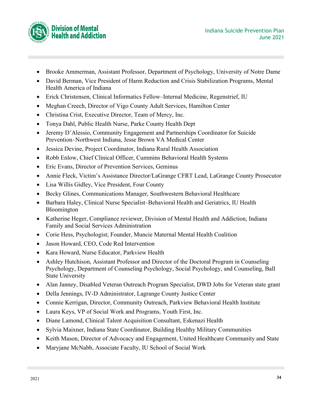

- Brooke Ammerman, Assistant Professor, Department of Psychology, University of Notre Dame
- David Berman, Vice President of Harm Reduction and Crisis Stabilization Programs, Mental Health America of Indiana
- Erick Christensen, Clinical Informatics Fellow–Internal Medicine, Regenstrief, IU
- Meghan Creech, Director of Vigo County Adult Services, Hamilton Center
- Christina Crist, Executive Director, Team of Mercy, Inc.
- Tonya Dahl, Public Health Nurse, Parke County Health Dept
- Jeremy D'Alessio, Community Engagement and Partnerships Coordinator for Suicide Prevention–Northwest Indiana, Jesse Brown VA Medical Center
- Jessica Devine, Project Coordinator, Indiana Rural Health Association
- Robb Enlow, Chief Clinical Officer, Cummins Behavioral Health Systems
- Eric Evans, Director of Prevention Services, Geminus
- Annie Fleck, Victim's Assistance Director/LaGrange CFRT Lead, LaGrange County Prosecutor
- Lisa Willis Gidley, Vice President, Four County
- Becky Glines, Communications Manager, Southwestern Behavioral Healthcare
- Barbara Haley, Clinical Nurse Specialist–Behavioral Health and Geriatrics, IU Health Bloomington
- Katherine Heger, Compliance reviewer, Division of Mental Health and Addiction, Indiana Family and Social Services Administration
- Corie Hess, Psychologist; Founder, Muncie Maternal Mental Health Coalition
- Jason Howard, CEO, Code Red Intervention
- Kara Howard, Nurse Educator, Parkview Health
- Ashley Hutchison, Assistant Professor and Director of the Doctoral Program in Counseling Psychology, Department of Counseling Psychology, Social Psychology, and Counseling, Ball State University
- Alan Janney, Disabled Veteran Outreach Program Specialist, DWD Jobs for Veteran state grant
- Della Jennings, IV-D Administrator, Lagrange County Justice Center
- Connie Kerrigan, Director, Community Outreach, Parkview Behavioral Health Institute
- Laura Keys, VP of Social Work and Programs, Youth First, Inc.
- Diane Lamond, Clinical Talent Acquisition Consultant, Eskenazi Health
- Sylvia Maixner, Indiana State Coordinator, Building Healthy Military Communities
- Keith Mason, Director of Advocacy and Engagement, United Healthcare Community and State
- Maryjane McNabb, Associate Faculty, IU School of Social Work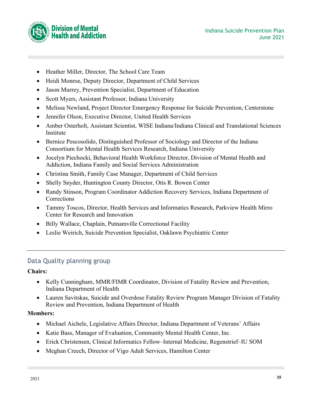

- Heather Miller, Director, The School Care Team
- Heidi Monroe, Deputy Director, Department of Child Services
- Jason Murrey, Prevention Specialist, Department of Education
- Scott Myers, Assistant Professor, Indiana University
- Melissa Newland, Project Director Emergency Response for Suicide Prevention, Centerstone
- Jennifer Olson, Executive Director, United Health Services
- Amber Osterholt, Assistant Scientist, WISE Indiana/Indiana Clinical and Translational Sciences Institute
- Bernice Pescosolido, Distinguished Professor of Sociology and Director of the Indiana Consortium for Mental Health Services Research, Indiana University
- Jocelyn Piechocki, Behavioral Health Workforce Director, Division of Mental Health and Addiction, Indiana Family and Social Services Administration
- Christina Smith, Family Case Manager, Department of Child Services
- Shelly Snyder, Huntington County Director, Otis R. Bowen Center
- Randy Stinson, Program Coordinator Addiction Recovery Services, Indiana Department of **Corrections**
- Tammy Toscos, Director, Health Services and Informatics Research, Parkview Health Mirro Center for Research and Innovation
- Billy Wallace, Chaplain, Putnamville Correctional Facility
- Leslie Weirich, Suicide Prevention Specialist, Oaklawn Psychiatric Center

# Data Quality planning group

#### **Chairs:**

- Kelly Cunningham, MMR/FIMR Coordinator, Division of Fatality Review and Prevention, Indiana Department of Health
- Lauren Savitskas, Suicide and Overdose Fatality Review Program Manager Division of Fatality Review and Prevention, Indiana Department of Health

- Michael Aichele, Legislative Affairs Director, Indiana Department of Veterans' Affairs
- Katie Bass, Manager of Evaluation, Community Mental Health Center, Inc.
- Erick Christensen, Clinical Informatics Fellow–Internal Medicine, Regenstrief–IU SOM
- Meghan Creech, Director of Vigo Adult Services, Hamilton Center